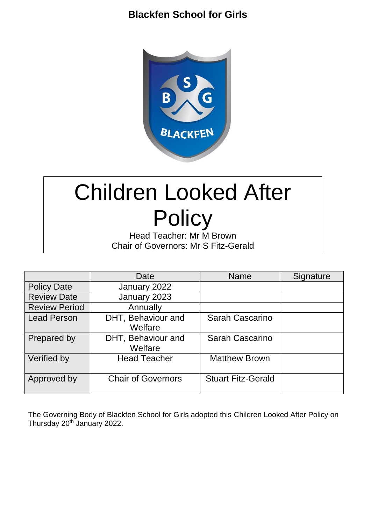# **Blackfen School for Girls**



# Children Looked After **Policy**

Head Teacher: Mr M Brown Chair of Governors: Mr S Fitz-Gerald

|                      | Date                          | <b>Name</b>               | Signature |
|----------------------|-------------------------------|---------------------------|-----------|
| <b>Policy Date</b>   | January 2022                  |                           |           |
| <b>Review Date</b>   | January 2023                  |                           |           |
| <b>Review Period</b> | Annually                      |                           |           |
| <b>Lead Person</b>   | DHT, Behaviour and<br>Welfare | Sarah Cascarino           |           |
| Prepared by          | DHT, Behaviour and<br>Welfare | Sarah Cascarino           |           |
| Verified by          | <b>Head Teacher</b>           | <b>Matthew Brown</b>      |           |
| Approved by          | <b>Chair of Governors</b>     | <b>Stuart Fitz-Gerald</b> |           |

The Governing Body of Blackfen School for Girls adopted this Children Looked After Policy on Thursday 20<sup>th</sup> January 2022.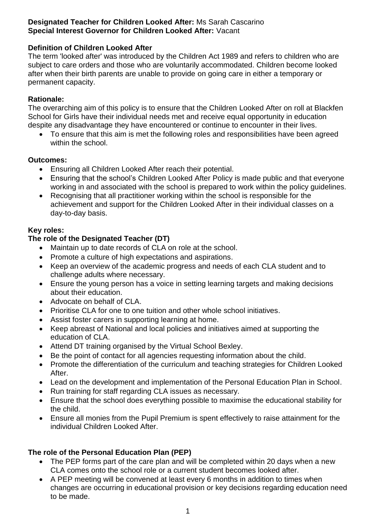#### **Designated Teacher for Children Looked After:** Ms Sarah Cascarino **Special Interest Governor for Children Looked After:** Vacant

#### **Definition of Children Looked After**

The term 'looked after' was introduced by the Children Act 1989 and refers to children who are subject to care orders and those who are voluntarily accommodated. Children become looked after when their birth parents are unable to provide on going care in either a temporary or permanent capacity.

#### **Rationale:**

The overarching aim of this policy is to ensure that the Children Looked After on roll at Blackfen School for Girls have their individual needs met and receive equal opportunity in education despite any disadvantage they have encountered or continue to encounter in their lives.

 To ensure that this aim is met the following roles and responsibilities have been agreed within the school.

#### **Outcomes:**

- Ensuring all Children Looked After reach their potential.
- Ensuring that the school's Children Looked After Policy is made public and that everyone working in and associated with the school is prepared to work within the policy guidelines.
- Recognising that all practitioner working within the school is responsible for the achievement and support for the Children Looked After in their individual classes on a day-to-day basis.

#### **Key roles:**

#### **The role of the Designated Teacher (DT)**

- Maintain up to date records of CLA on role at the school.
- Promote a culture of high expectations and aspirations.
- Keep an overview of the academic progress and needs of each CLA student and to challenge adults where necessary.
- Ensure the young person has a voice in setting learning targets and making decisions about their education.
- Advocate on behalf of CLA.
- Prioritise CLA for one to one tuition and other whole school initiatives.
- Assist foster carers in supporting learning at home.
- Keep abreast of National and local policies and initiatives aimed at supporting the education of CLA.
- Attend DT training organised by the Virtual School Bexley.
- Be the point of contact for all agencies requesting information about the child.
- Promote the differentiation of the curriculum and teaching strategies for Children Looked After.
- Lead on the development and implementation of the Personal Education Plan in School.
- Run training for staff regarding CLA issues as necessary.
- Ensure that the school does everything possible to maximise the educational stability for the child.
- Ensure all monies from the Pupil Premium is spent effectively to raise attainment for the individual Children Looked After.

#### **The role of the Personal Education Plan (PEP)**

- The PEP forms part of the care plan and will be completed within 20 days when a new CLA comes onto the school role or a current student becomes looked after.
- A PEP meeting will be convened at least every 6 months in addition to times when changes are occurring in educational provision or key decisions regarding education need to be made.